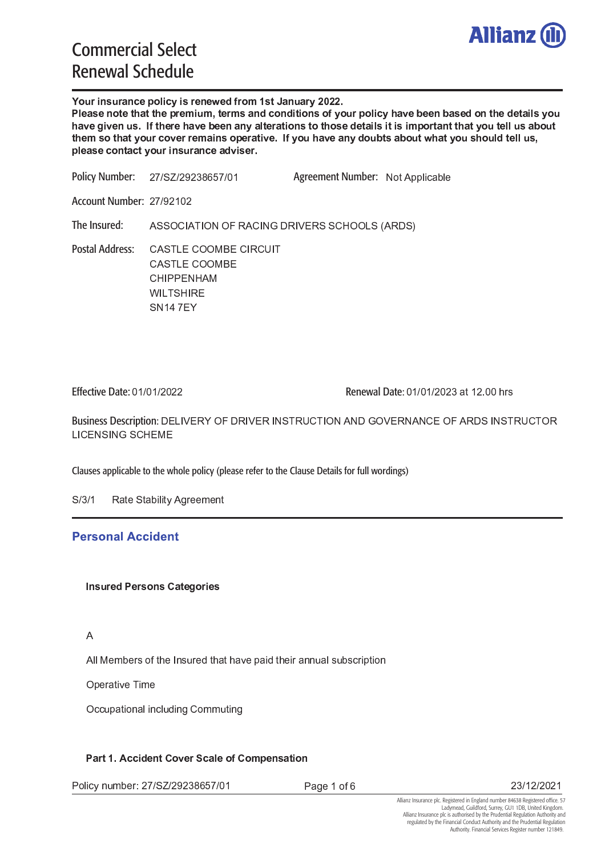

- -  - 

 -  -   - -   - - -  $\mathcal{L}=\{ \mathcal{L}^{\mathcal{L}} \mid \mathcal{L}^{\mathcal{L}} \mathcal{L}^{\mathcal{L}} \}$  . The contract of the contract of the contract of the contract of the contract of the contract of the contract of the contract of the contract of the contract of the c  $-$  . The contract of the contract of the contract of the contract of the contract of the contract of the contract of the contract of the contract of the contract of the contract of the contract of the contract of the con

<sup>2</sup> <sup>3</sup> 4 5 <sup>6</sup> 4 2 <sup>7</sup> <sup>2</sup> <sup>8</sup> <sup>9</sup> : ; <sup>3</sup> 4 < <sup>=</sup> . " & / # # 0 , % <sup>1</sup> 0 ' Agreement Number:Policy Number:

Account Number: 27/9210

ASSOCIATION OF RACING DRIVERS SCHOOLS (ARDS) The Insured:

Postal Address: CASTLE COOMBE CIRCUIT CHIPPENHAM **WILTSHIRE** SN147EY CASTLE COOMBE

Effective Date: 01/01/2022

Renewal Date: 01/01/2023 at 12.00 hrs

Business Description: DELIVERY OF DRIVER INSTRUCTION AND GOVERNANCE OF ARDS INSTRUCTO LICENSING SCHEME

Clauses applicable to the whole policy (please refer to the Clause Details for full wordings)

S/3/1 Rate Stability Agreement

## **Personal Accident**

### $\overline{A}$

All Members of the Insured that have paid their annual subscriptio

Operative Time

Occupational including Commuting

Policy number: 27/SZ/29238657/0

Page 1 of

23/12/2021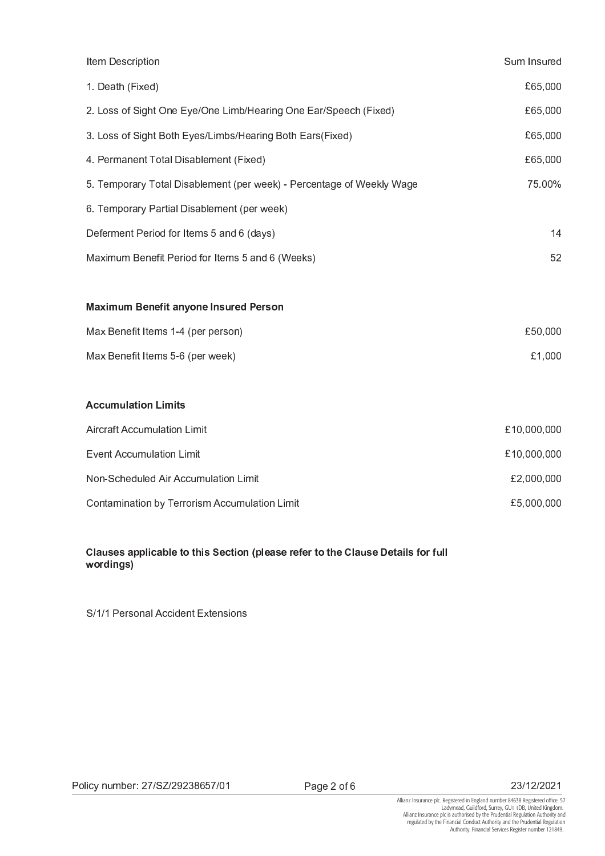| Item Description                                                      | Sum Insured |
|-----------------------------------------------------------------------|-------------|
| 1. Death (Fixed)                                                      | £65,000     |
| 2. Loss of Sight One Eye/One Limb/Hearing One Ear/Speech (Fixed)      | £65,000     |
| 3. Loss of Sight Both Eyes/Limbs/Hearing Both Ears(Fixed)             | £65,000     |
| 4. Permanent Total Disablement (Fixed)                                | £65,000     |
| 5. Temporary Total Disablement (per week) - Percentage of Weekly Wage | 75.00%      |
| 6. Temporary Partial Disablement (per week)                           |             |
| Deferment Period for Items 5 and 6 (days)                             | 14          |
| Maximum Benefit Period for Items 5 and 6 (Weeks)                      | 52          |
|                                                                       |             |
| <b>Maximum Benefit anyone Insured Person</b>                          |             |
| Max Benefit Items 1-4 (per person)                                    | £50,000     |
| Max Benefit Items 5-6 (per week)                                      | £1,000      |
|                                                                       |             |
| <b>Accumulation Limits</b>                                            |             |
| <b>Aircraft Accumulation Limit</b>                                    | £10,000,000 |
| <b>Event Accumulation Limit</b>                                       | £10,000,000 |
| Non-Scheduled Air Accumulation Limit                                  | £2,000,000  |
| Contamination by Terrorism Accumulation Limit                         | £5,000,000  |

## Clauses applicable to this Section (please refer to the Clause Details for full wordings)

S/1/1 Personal Accident Extensions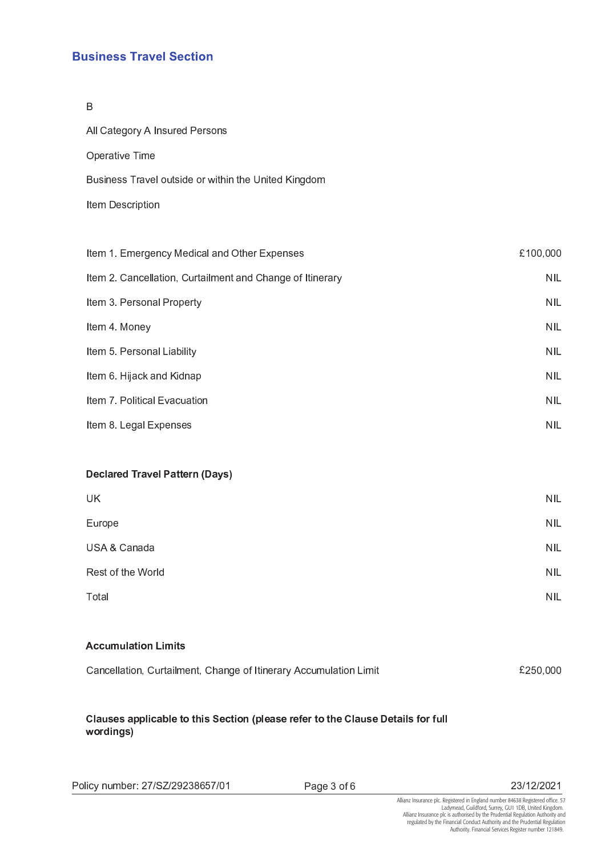# **Business Travel Section**

 $\overline{B}$ 

| All Category A Insured Persons                            |            |
|-----------------------------------------------------------|------------|
| Operative Time                                            |            |
| Business Travel outside or within the United Kingdom      |            |
| Item Description                                          |            |
|                                                           |            |
| Item 1. Emergency Medical and Other Expenses              | £100,000   |
| Item 2. Cancellation, Curtailment and Change of Itinerary | <b>NIL</b> |
| Item 3. Personal Property                                 | <b>NIL</b> |
| Item 4. Money                                             | <b>NIL</b> |
| Item 5 Personal Liability                                 | <b>NIL</b> |
| Item 6. Hijack and Kidnap                                 | <b>NIL</b> |

Item 7. Political Evacuation  $NIL$ **NIL** Item 8. Legal Expenses

## **Declared Travel Pattern (Days)**

| UK                | <b>NIL</b> |
|-------------------|------------|
| Europe            | <b>NIL</b> |
| USA & Canada      | <b>NIL</b> |
| Rest of the World | <b>NIL</b> |
| Total             | <b>NIL</b> |

## **Accumulation Limits**

| Cancellation, Curtailment, Change of Itinerary Accumulation Limit | £250,000 |
|-------------------------------------------------------------------|----------|
|                                                                   |          |

## Clauses applicable to this Section (please refer to the Clause Details for full wordings)

Page 3 of 6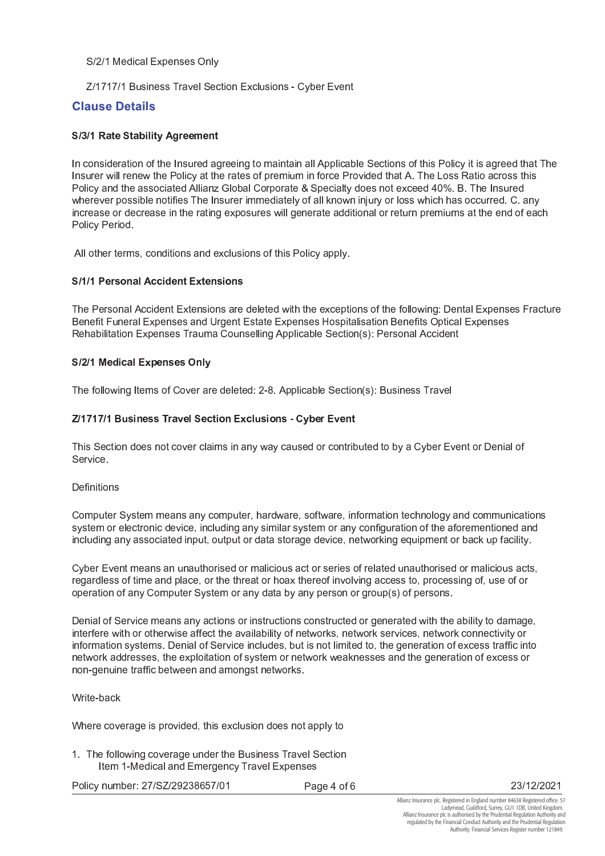### S/2/1 Medical Expenses Only

Z/1717/1 Business Travel Section Exclusions - Cyber Event

## **Clause Details**

## S/3/1 Rate Stability Agreement

In consideration of the Insured agreeing to maintain all Applicable Sections of this Policy it is agreed that The Insurer will renew the Policy at the rates of premium in force Provided that A. The Loss Ratio across this Policy and the associated Allianz Global Corporate & Specialty does not exceed 40%. B. The Insured wherever possible notifies The Insurer immediately of all known injury or loss which has occurred. C. any increase or decrease in the rating exposures will generate additional or return premiums at the end of each Policy Period.

All other terms, conditions and exclusions of this Policy apply.

## S/1/1 Personal Accident Extensions

The Personal Accident Extensions are deleted with the exceptions of the following: Dental Expenses Fracture Benefit Funeral Expenses and Urgent Estate Expenses Hospitalisation Benefits Optical Expenses Rehabilitation Expenses Trauma Counselling Applicable Section(s): Personal Accident

### S/2/1 Medical Expenses Only

The following Items of Cover are deleted: 2-8. Applicable Section(s): Business Travel

## Z/1717/1 Business Travel Section Exclusions - Cyber Event

This Section does not cover claims in any way caused or contributed to by a Cyber Event or Denial of Service.

**Definitions** 

Computer System means any computer, hardware, software, information technology and communications system or electronic device, including any similar system or any configuration of the aforementioned and including any associated input, output or data storage device, networking equipment or back up facility.

Cyber Event means an unauthorised or malicious act or series of related unauthorised or malicious acts, regardless of time and place, or the threat or hoax thereof involving access to, processing of, use of or operation of any Computer System or any data by any person or group(s) of persons.

Denial of Service means any actions or instructions constructed or generated with the ability to damage, interfere with or otherwise affect the availability of networks, network services, network connectivity or information systems. Denial of Service includes, but is not limited to, the generation of excess traffic into network addresses, the exploitation of system or network weaknesses and the generation of excess or non-genuine traffic between and amongst networks.

### Write-back

Where coverage is provided, this exclusion does not apply to

1. The following coverage under the Business Travel Section Item 1-Medical and Emergency Travel Expenses

Policy number: 27/SZ/29238657/01

Page 4 of 6

23/12/2021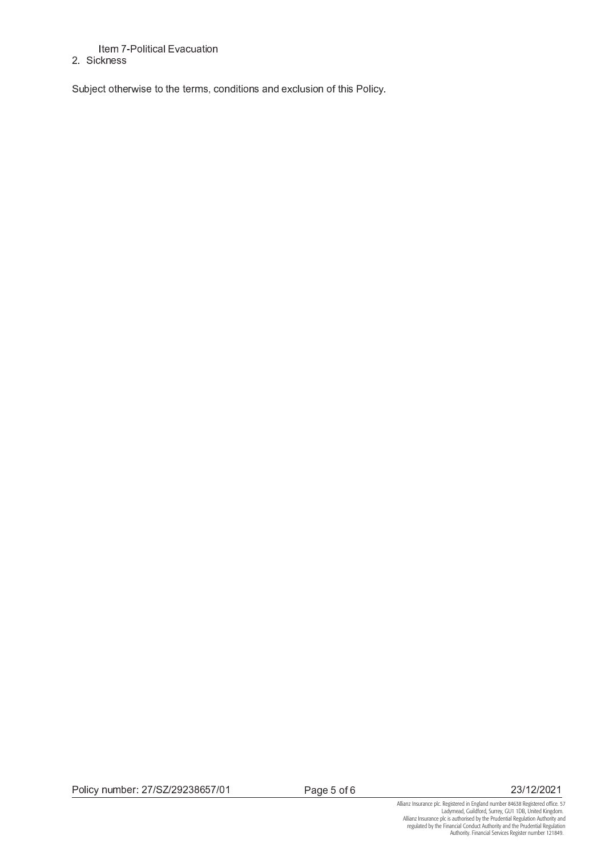## Item 7-Political Evacuation

## 2 Sickness

Subject otherwise to the terms, conditions and exclusion of this Policy.

Page 5 of 6